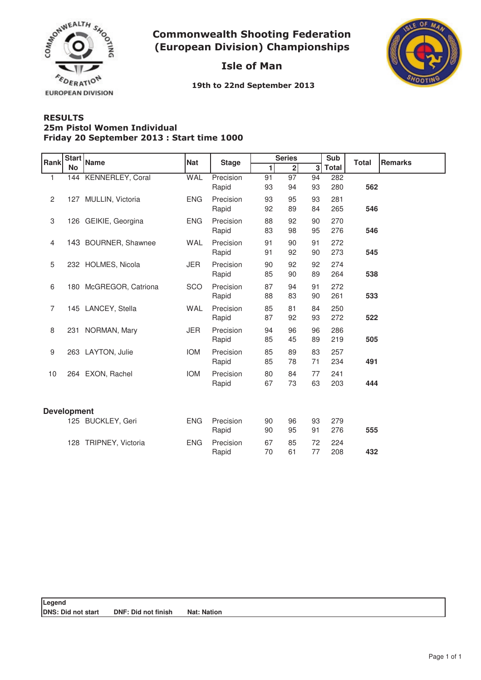

**Commonwealth Shooting Federation** (European Division) Championships

## Isle of Man



19th to 22nd September 2013

## **RESULTS** Friday 20 September 2013 : Start time 1000 **25m Pistol Women Individual**

| Rank               | <b>Start</b><br><b>No</b> | Name                   | <b>Nat</b> | <b>Stage</b>       | <b>Series</b> |              |          | Sub          | <b>Total</b> | <b>Remarks</b> |
|--------------------|---------------------------|------------------------|------------|--------------------|---------------|--------------|----------|--------------|--------------|----------------|
|                    |                           |                        |            |                    | 1             | $\mathbf{2}$ | 3        | <b>Total</b> |              |                |
| 1                  | 144                       | KENNERLEY, Coral       | <b>WAL</b> | Precision<br>Rapid | 91<br>93      | 97<br>94     | 94<br>93 | 282<br>280   | 562          |                |
| 2                  |                           | 127 MULLIN, Victoria   | <b>ENG</b> | Precision<br>Rapid | 93<br>92      | 95<br>89     | 93<br>84 | 281<br>265   | 546          |                |
| 3                  |                           | 126 GEIKIE, Georgina   | <b>ENG</b> | Precision<br>Rapid | 88<br>83      | 92<br>98     | 90<br>95 | 270<br>276   | 546          |                |
| $\overline{4}$     |                           | 143 BOURNER, Shawnee   | <b>WAL</b> | Precision<br>Rapid | 91<br>91      | 90<br>92     | 91<br>90 | 272<br>273   | 545          |                |
| 5                  |                           | 232 HOLMES, Nicola     | <b>JER</b> | Precision<br>Rapid | 90<br>85      | 92<br>90     | 92<br>89 | 274<br>264   | 538          |                |
| 6                  |                           | 180 McGREGOR, Catriona | SCO        | Precision<br>Rapid | 87<br>88      | 94<br>83     | 91<br>90 | 272<br>261   | 533          |                |
| $\overline{7}$     |                           | 145 LANCEY, Stella     | <b>WAL</b> | Precision<br>Rapid | 85<br>87      | 81<br>92     | 84<br>93 | 250<br>272   | 522          |                |
| 8                  |                           | 231 NORMAN, Mary       | <b>JER</b> | Precision<br>Rapid | 94<br>85      | 96<br>45     | 96<br>89 | 286<br>219   | 505          |                |
| 9                  |                           | 263 LAYTON, Julie      | <b>IOM</b> | Precision<br>Rapid | 85<br>85      | 89<br>78     | 83<br>71 | 257<br>234   | 491          |                |
| 10                 |                           | 264 EXON, Rachel       | <b>IOM</b> | Precision<br>Rapid | 80<br>67      | 84<br>73     | 77<br>63 | 241<br>203   | 444          |                |
| <b>Development</b> |                           |                        |            |                    |               |              |          |              |              |                |
|                    |                           | 125 BUCKLEY, Geri      | <b>ENG</b> | Precision<br>Rapid | 90<br>90      | 96<br>95     | 93<br>91 | 279<br>276   | 555          |                |
|                    |                           | 128 TRIPNEY, Victoria  | <b>ENG</b> | Precision<br>Rapid | 67<br>70      | 85<br>61     | 72<br>77 | 224<br>208   | 432          |                |